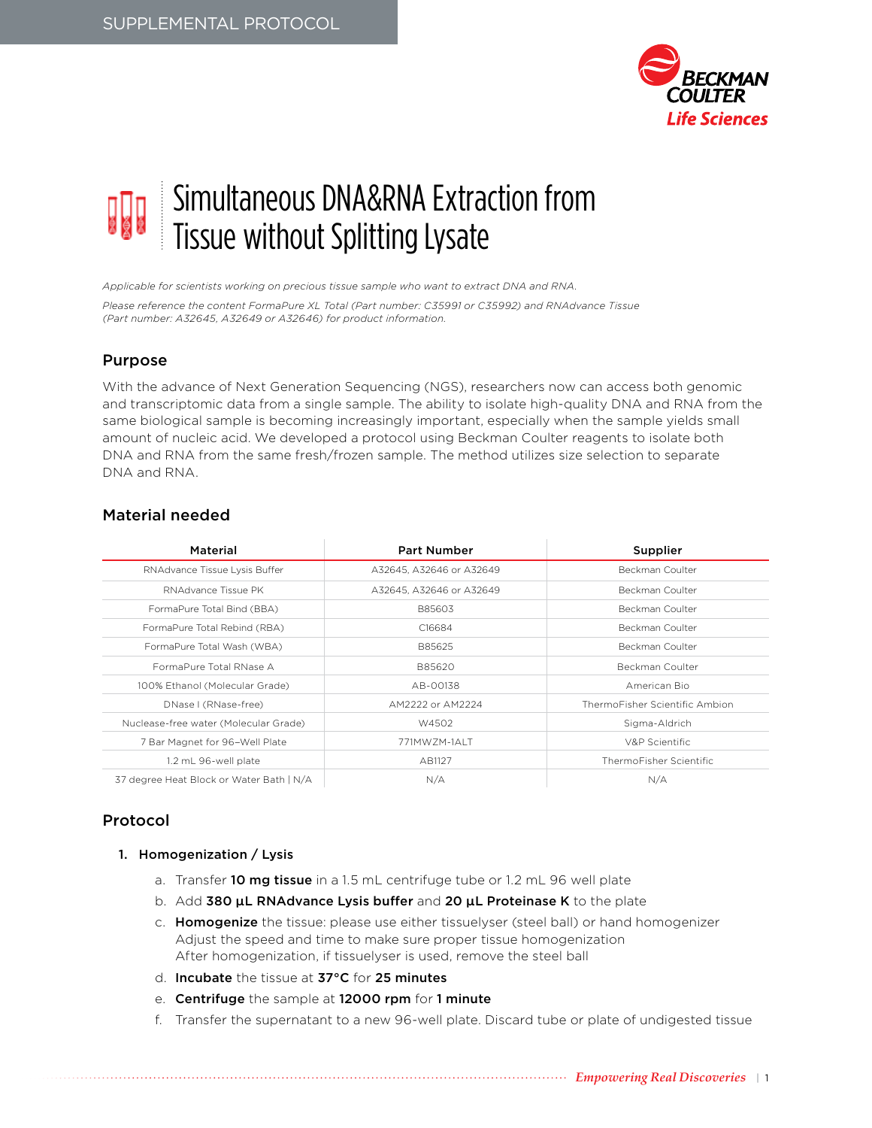

# Simultaneous DNA&RNA Extraction from Tissue without Splitting Lysate

*Applicable for scientists working on precious tissue sample who want to extract DNA and RNA.*

*Please reference the content FormaPure XL Total (Part number: C35991 or C35992) and RNAdvance Tissue (Part number: A32645, A32649 or A32646) for product information.*

## Purpose

With the advance of Next Generation Sequencing (NGS), researchers now can access both genomic and transcriptomic data from a single sample. The ability to isolate high-quality DNA and RNA from the same biological sample is becoming increasingly important, especially when the sample yields small amount of nucleic acid. We developed a protocol using Beckman Coulter reagents to isolate both DNA and RNA from the same fresh/frozen sample. The method utilizes size selection to separate DNA and RNA.

## Material needed

| Material                                 | <b>Part Number</b>       | Supplier                       |
|------------------------------------------|--------------------------|--------------------------------|
| RNAdvance Tissue Lysis Buffer            | A32645, A32646 or A32649 | Beckman Coulter                |
| RNAdvance Tissue PK                      | A32645, A32646 or A32649 | Beckman Coulter                |
| FormaPure Total Bind (BBA)               | B85603                   | Beckman Coulter                |
| FormaPure Total Rebind (RBA)             | C16684                   | Beckman Coulter                |
| FormaPure Total Wash (WBA)               | B85625                   | Beckman Coulter                |
| FormaPure Total RNase A                  | B85620                   | Beckman Coulter                |
| 100% Ethanol (Molecular Grade)           | AB-00138                 | American Bio                   |
| DNase I (RNase-free)                     | AM2222 or AM2224         | ThermoFisher Scientific Ambion |
| Nuclease-free water (Molecular Grade)    | W4502                    | Sigma-Aldrich                  |
| 7 Bar Magnet for 96-Well Plate           | 771MWZM-1ALT             | V&P Scientific                 |
| 1.2 mL 96-well plate                     | AB1127                   | ThermoFisher Scientific        |
| 37 degree Heat Block or Water Bath   N/A | N/A                      | N/A                            |

# Protocol

- 1. Homogenization / Lysis
	- a. Transfer 10 mg tissue in a 1.5 mL centrifuge tube or 1.2 mL 96 well plate
	- b. Add 380 μL RNAdvance Lysis buffer and 20 μL Proteinase K to the plate
	- c. Homogenize the tissue: please use either tissuelyser (steel ball) or hand homogenizer Adjust the speed and time to make sure proper tissue homogenization After homogenization, if tissuelyser is used, remove the steel ball
	- d. Incubate the tissue at 37°C for 25 minutes
	- e. Centrifuge the sample at 12000 rpm for 1 minute
	- f. Transfer the supernatant to a new 96-well plate. Discard tube or plate of undigested tissue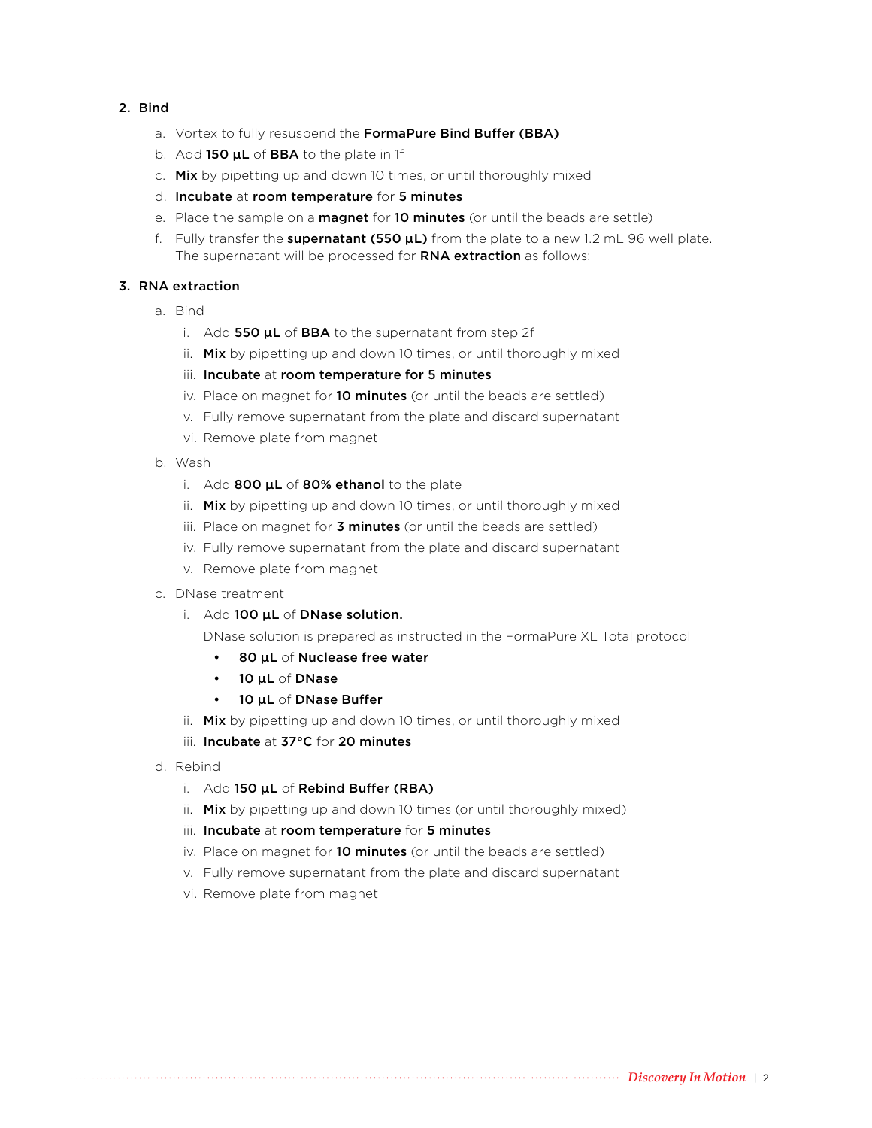### 2. Bind

- a. Vortex to fully resuspend the FormaPure Bind Buffer (BBA)
- b. Add 150  $\mu$ L of BBA to the plate in 1f
- c. Mix by pipetting up and down 10 times, or until thoroughly mixed
- d. Incubate at room temperature for 5 minutes
- e. Place the sample on a **magnet** for 10 minutes (or until the beads are settle)
- f. Fully transfer the supernatant  $(550 \mu L)$  from the plate to a new 1.2 mL 96 well plate. The supernatant will be processed for **RNA extraction** as follows:

#### 3. RNA extraction

- a. Bind
	- i. Add 550 **μL** of **BBA** to the supernatant from step 2f
	- ii. Mix by pipetting up and down 10 times, or until thoroughly mixed
	- iii. Incubate at room temperature for 5 minutes
	- iv. Place on magnet for 10 minutes (or until the beads are settled)
	- v. Fully remove supernatant from the plate and discard supernatant
	- vi. Remove plate from magnet
- b. Wash
	- i. Add  $800 \mu L$  of  $80\%$  ethanol to the plate
	- ii. Mix by pipetting up and down 10 times, or until thoroughly mixed
	- iii. Place on magnet for **3 minutes** (or until the beads are settled)
	- iv. Fully remove supernatant from the plate and discard supernatant
	- v. Remove plate from magnet
- c. DNase treatment
	- i. Add 100 μL of DNase solution.

DNase solution is prepared as instructed in the FormaPure XL Total protocol

- 80 μL of Nuclease free water
- 10 **μL** of **DNase**
- 10 μL of DNase Buffer
- ii. Mix by pipetting up and down 10 times, or until thoroughly mixed
- iii. Incubate at 37°C for 20 minutes
- d. Rebind
	- i. Add 150 μL of Rebind Buffer (RBA)
	- ii. Mix by pipetting up and down 10 times (or until thoroughly mixed)
	- iii. Incubate at room temperature for 5 minutes
	- iv. Place on magnet for **10 minutes** (or until the beads are settled)
	- v. Fully remove supernatant from the plate and discard supernatant
	- vi. Remove plate from magnet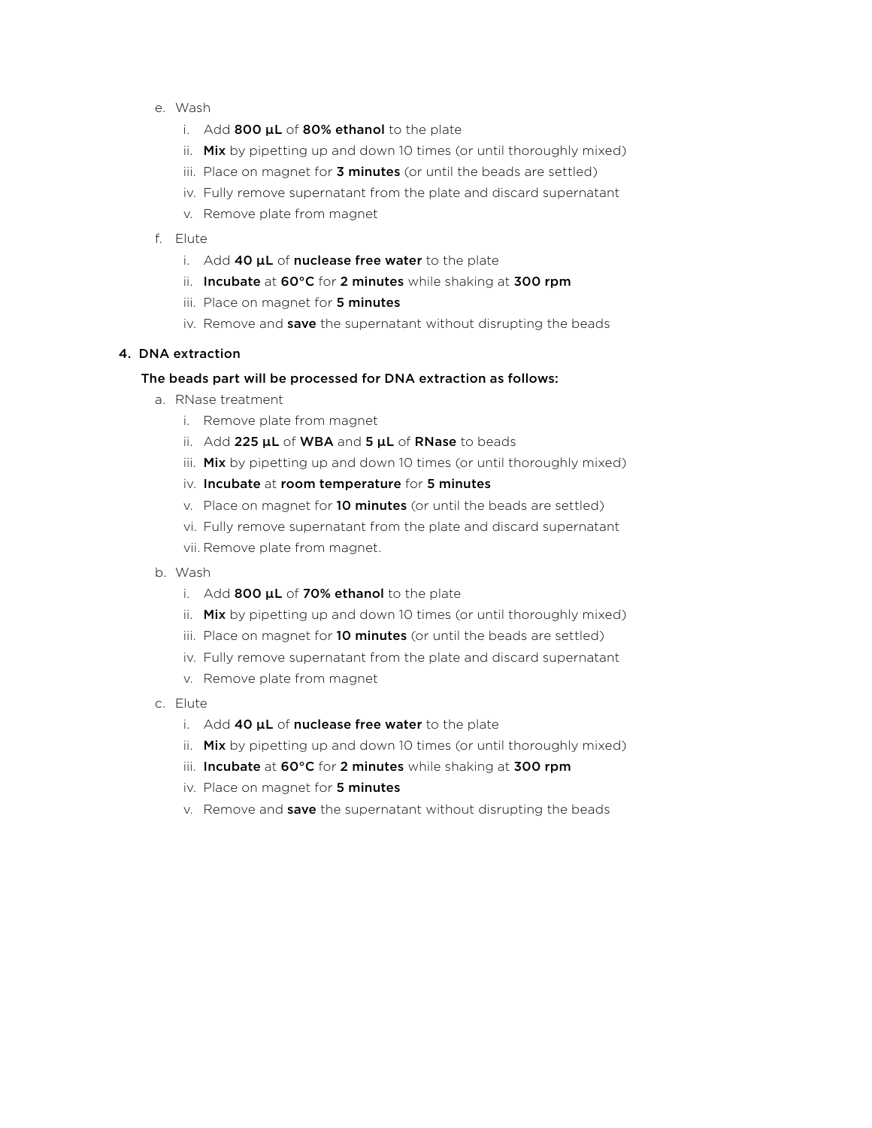- e. Wash
	- i. Add 800 µL of 80% ethanol to the plate
	- ii. Mix by pipetting up and down 10 times (or until thoroughly mixed)
	- iii. Place on magnet for 3 minutes (or until the beads are settled)
	- iv. Fully remove supernatant from the plate and discard supernatant
	- v. Remove plate from magnet
- f. Elute
	- i. Add 40 µL of nuclease free water to the plate
	- ii. Incubate at 60°C for 2 minutes while shaking at 300 rpm
	- iii. Place on magnet for 5 minutes
	- iv. Remove and save the supernatant without disrupting the beads

#### 4. DNA extraction

#### The beads part will be processed for DNA extraction as follows:

- a. RNase treatment
	- i. Remove plate from magnet
	- ii. Add  $225 \mu L$  of WBA and  $5 \mu L$  of RNase to beads
	- iii. Mix by pipetting up and down 10 times (or until thoroughly mixed)
	- iv. Incubate at room temperature for 5 minutes
	- v. Place on magnet for **10 minutes** (or until the beads are settled)
	- vi. Fully remove supernatant from the plate and discard supernatant
	- vii. Remove plate from magnet.
- b. Wash
	- i. Add 800 µL of 70% ethanol to the plate
	- ii. Mix by pipetting up and down 10 times (or until thoroughly mixed)
	- iii. Place on magnet for 10 minutes (or until the beads are settled)
	- iv. Fully remove supernatant from the plate and discard supernatant
	- v. Remove plate from magnet
- c. Elute
	- i. Add 40  $\mu$ L of nuclease free water to the plate
	- ii. Mix by pipetting up and down 10 times (or until thoroughly mixed)
	- iii. Incubate at 60°C for 2 minutes while shaking at 300 rpm
	- iv. Place on magnet for 5 minutes
	- v. Remove and save the supernatant without disrupting the beads